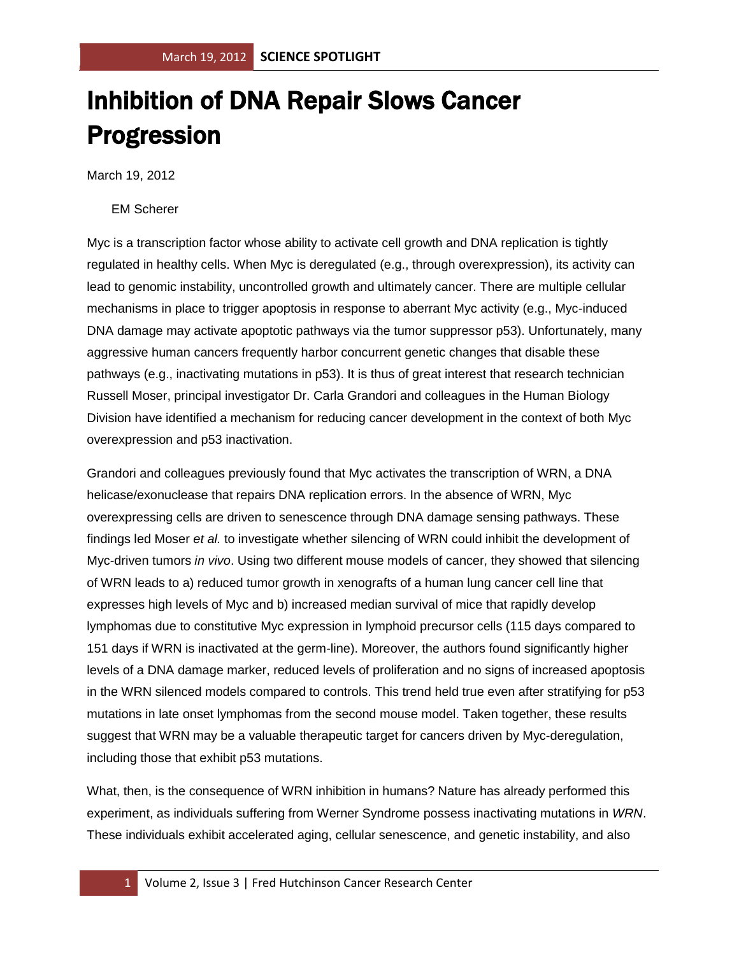## Inhibition of DNA Repair Slows Cancer Progression

March 19, 2012

## EM Scherer

Myc is a transcription factor whose ability to activate cell growth and DNA replication is tightly regulated in healthy cells. When Myc is deregulated (e.g., through overexpression), its activity can lead to genomic instability, uncontrolled growth and ultimately cancer. There are multiple cellular mechanisms in place to trigger apoptosis in response to aberrant Myc activity (e.g., Myc-induced DNA damage may activate apoptotic pathways via the tumor suppressor p53). Unfortunately, many aggressive human cancers frequently harbor concurrent genetic changes that disable these pathways (e.g., inactivating mutations in p53). It is thus of great interest that research technician Russell Moser, principal investigator Dr. Carla Grandori and colleagues in the Human Biology Division have identified a mechanism for reducing cancer development in the context of both Myc overexpression and p53 inactivation.

Grandori and colleagues previously found that Myc activates the transcription of WRN, a DNA helicase/exonuclease that repairs DNA replication errors. In the absence of WRN, Myc overexpressing cells are driven to senescence through DNA damage sensing pathways. These findings led Moser *et al.* to investigate whether silencing of WRN could inhibit the development of Myc-driven tumors *in vivo*. Using two different mouse models of cancer, they showed that silencing of WRN leads to a) reduced tumor growth in xenografts of a human lung cancer cell line that expresses high levels of Myc and b) increased median survival of mice that rapidly develop lymphomas due to constitutive Myc expression in lymphoid precursor cells (115 days compared to 151 days if WRN is inactivated at the germ-line). Moreover, the authors found significantly higher levels of a DNA damage marker, reduced levels of proliferation and no signs of increased apoptosis in the WRN silenced models compared to controls. This trend held true even after stratifying for p53 mutations in late onset lymphomas from the second mouse model. Taken together, these results suggest that WRN may be a valuable therapeutic target for cancers driven by Myc-deregulation, including those that exhibit p53 mutations.

What, then, is the consequence of WRN inhibition in humans? Nature has already performed this experiment, as individuals suffering from Werner Syndrome possess inactivating mutations in *WRN*. These individuals exhibit accelerated aging, cellular senescence, and genetic instability, and also